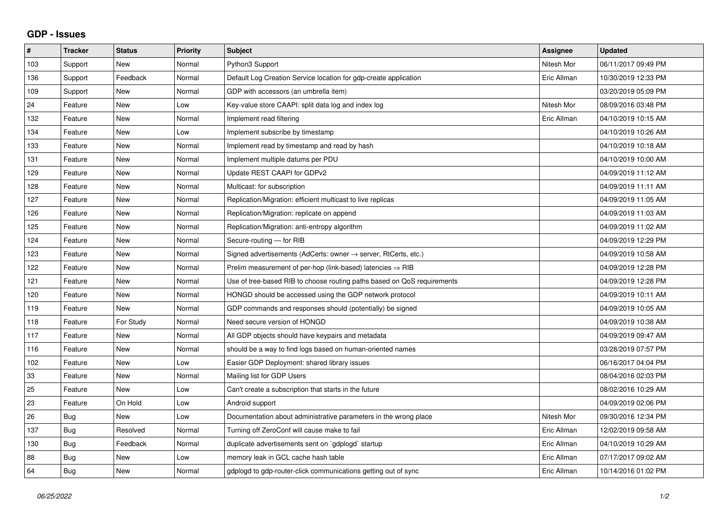## **GDP - Issues**

| #   | <b>Tracker</b> | <b>Status</b> | Priority | <b>Subject</b>                                                             | Assignee    | <b>Updated</b>      |
|-----|----------------|---------------|----------|----------------------------------------------------------------------------|-------------|---------------------|
| 103 | Support        | <b>New</b>    | Normal   | Python3 Support                                                            | Nitesh Mor  | 06/11/2017 09:49 PM |
| 136 | Support        | Feedback      | Normal   | Default Log Creation Service location for gdp-create application           | Eric Allman | 10/30/2019 12:33 PM |
| 109 | Support        | <b>New</b>    | Normal   | GDP with accessors (an umbrella item)                                      |             | 03/20/2019 05:09 PM |
| 24  | Feature        | <b>New</b>    | Low      | Key-value store CAAPI: split data log and index log                        | Nitesh Mor  | 08/09/2016 03:48 PM |
| 132 | Feature        | <b>New</b>    | Normal   | Implement read filtering                                                   | Eric Allman | 04/10/2019 10:15 AM |
| 134 | Feature        | <b>New</b>    | Low      | Implement subscribe by timestamp                                           |             | 04/10/2019 10:26 AM |
| 133 | Feature        | <b>New</b>    | Normal   | Implement read by timestamp and read by hash                               |             | 04/10/2019 10:18 AM |
| 131 | Feature        | New           | Normal   | Implement multiple datums per PDU                                          |             | 04/10/2019 10:00 AM |
| 129 | Feature        | <b>New</b>    | Normal   | Update REST CAAPI for GDPv2                                                |             | 04/09/2019 11:12 AM |
| 128 | Feature        | <b>New</b>    | Normal   | Multicast: for subscription                                                |             | 04/09/2019 11:11 AM |
| 127 | Feature        | New           | Normal   | Replication/Migration: efficient multicast to live replicas                |             | 04/09/2019 11:05 AM |
| 126 | Feature        | <b>New</b>    | Normal   | Replication/Migration: replicate on append                                 |             | 04/09/2019 11:03 AM |
| 125 | Feature        | New           | Normal   | Replication/Migration: anti-entropy algorithm                              |             | 04/09/2019 11:02 AM |
| 124 | Feature        | <b>New</b>    | Normal   | Secure-routing - for RIB                                                   |             | 04/09/2019 12:29 PM |
| 123 | Feature        | New           | Normal   | Signed advertisements (AdCerts: owner $\rightarrow$ server, RtCerts, etc.) |             | 04/09/2019 10:58 AM |
| 122 | Feature        | <b>New</b>    | Normal   | Prelim measurement of per-hop (link-based) latencies $\Rightarrow$ RIB     |             | 04/09/2019 12:28 PM |
| 121 | Feature        | <b>New</b>    | Normal   | Use of tree-based RIB to choose routing paths based on QoS requirements    |             | 04/09/2019 12:28 PM |
| 120 | Feature        | New           | Normal   | HONGD should be accessed using the GDP network protocol                    |             | 04/09/2019 10:11 AM |
| 119 | Feature        | <b>New</b>    | Normal   | GDP commands and responses should (potentially) be signed                  |             | 04/09/2019 10:05 AM |
| 118 | Feature        | For Study     | Normal   | Need secure version of HONGD                                               |             | 04/09/2019 10:38 AM |
| 117 | Feature        | New           | Normal   | All GDP objects should have keypairs and metadata                          |             | 04/09/2019 09:47 AM |
| 116 | Feature        | <b>New</b>    | Normal   | should be a way to find logs based on human-oriented names                 |             | 03/28/2019 07:57 PM |
| 102 | Feature        | <b>New</b>    | Low      | Easier GDP Deployment: shared library issues                               |             | 06/16/2017 04:04 PM |
| 33  | Feature        | New           | Normal   | Mailing list for GDP Users                                                 |             | 08/04/2016 02:03 PM |
| 25  | Feature        | <b>New</b>    | Low      | Can't create a subscription that starts in the future                      |             | 08/02/2016 10:29 AM |
| 23  | Feature        | On Hold       | Low      | Android support                                                            |             | 04/09/2019 02:06 PM |
| 26  | <b>Bug</b>     | <b>New</b>    | Low      | Documentation about administrative parameters in the wrong place           | Nitesh Mor  | 09/30/2016 12:34 PM |
| 137 | Bug            | Resolved      | Normal   | Turning off ZeroConf will cause make to fail                               | Eric Allman | 12/02/2019 09:58 AM |
| 130 | Bug            | Feedback      | Normal   | duplicate advertisements sent on `gdplogd` startup                         | Eric Allman | 04/10/2019 10:29 AM |
| 88  | <b>Bug</b>     | <b>New</b>    | Low      | memory leak in GCL cache hash table                                        | Eric Allman | 07/17/2017 09:02 AM |
| 64  | Bug            | New           | Normal   | gdplogd to gdp-router-click communications getting out of sync             | Eric Allman | 10/14/2016 01:02 PM |